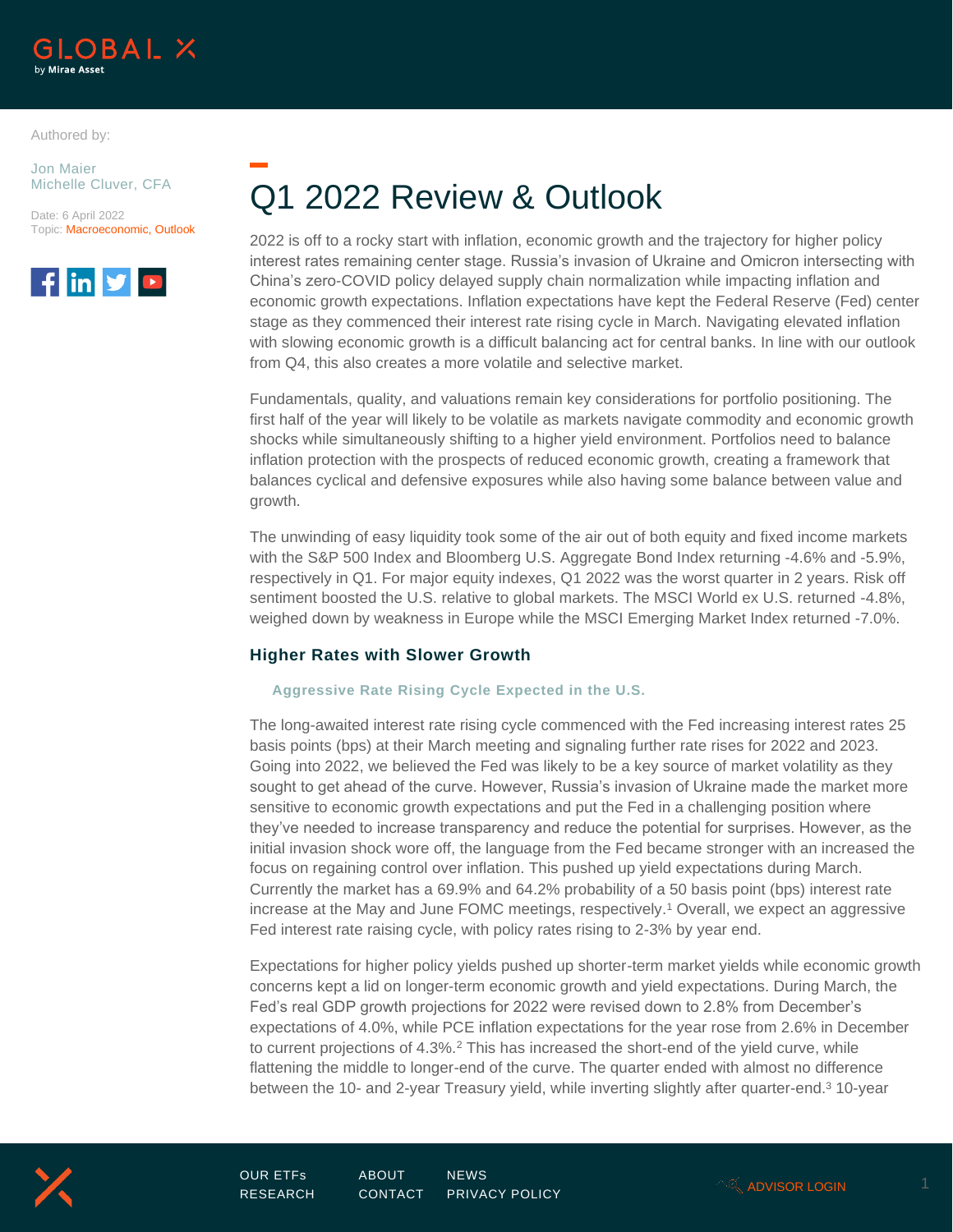

Authored by:

Jon Maier Michelle Cluver, CFA

Date: 6 April 2022 Topic: Macroeconomic, Outlook



# Q1 2022 Review & Outlook

2022 is off to a rocky start with inflation, economic growth and the trajectory for higher policy interest rates remaining center stage. Russia's invasion of Ukraine and Omicron intersecting with China's zero-COVID policy delayed supply chain normalization while impacting inflation and economic growth expectations. Inflation expectations have kept the Federal Reserve (Fed) center stage as they commenced their interest rate rising cycle in March. Navigating elevated inflation with slowing economic growth is a difficult balancing act for central banks. In line with our outlook from Q4, this also creates a more volatile and selective market.

Fundamentals, quality, and valuations remain key considerations for portfolio positioning. The first half of the year will likely to be volatile as markets navigate commodity and economic growth shocks while simultaneously shifting to a higher yield environment. Portfolios need to balance inflation protection with the prospects of reduced economic growth, creating a framework that balances cyclical and defensive exposures while also having some balance between value and growth.

The unwinding of easy liquidity took some of the air out of both equity and fixed income markets with the S&P 500 Index and Bloomberg U.S. Aggregate Bond Index returning -4.6% and -5.9%, respectively in Q1. For major equity indexes, Q1 2022 was the worst quarter in 2 years. Risk off sentiment boosted the U.S. relative to global markets. The MSCI World ex U.S. returned -4.8%, weighed down by weakness in Europe while the MSCI Emerging Market Index returned -7.0%.

# **Higher Rates with Slower Growth**

### **Aggressive Rate Rising Cycle Expected in the U.S.**

The long-awaited interest rate rising cycle commenced with the Fed increasing interest rates 25 basis points (bps) at their March meeting and signaling further rate rises for 2022 and 2023. Going into 2022, we believed the Fed was likely to be a key source of market volatility as they sought to get ahead of the curve. However, Russia's invasion of Ukraine made the market more sensitive to economic growth expectations and put the Fed in a challenging position where they've needed to increase transparency and reduce the potential for surprises. However, as the initial invasion shock wore off, the language from the Fed became stronger with an increased the focus on regaining control over inflation. This pushed up yield expectations during March. Currently the market has a 69.9% and 64.2% probability of a 50 basis point (bps) interest rate increase at the May and June FOMC meetings, respectively.<sup>1</sup> Overall, we expect an aggressive Fed interest rate raising cycle, with policy rates rising to 2-3% by year end.

Expectations for higher policy yields pushed up shorter-term market yields while economic growth concerns kept a lid on longer-term economic growth and yield expectations. During March, the Fed's real GDP growth projections for 2022 were revised down to 2.8% from December's expectations of 4.0%, while PCE inflation expectations for the year rose from 2.6% in December to current projections of 4.3%.<sup>2</sup> This has increased the short-end of the yield curve, while flattening the middle to longer-end of the curve. The quarter ended with almost no difference between the 10- and 2-year Treasury yield, while inverting slightly after quarter-end.<sup>3</sup> 10-year

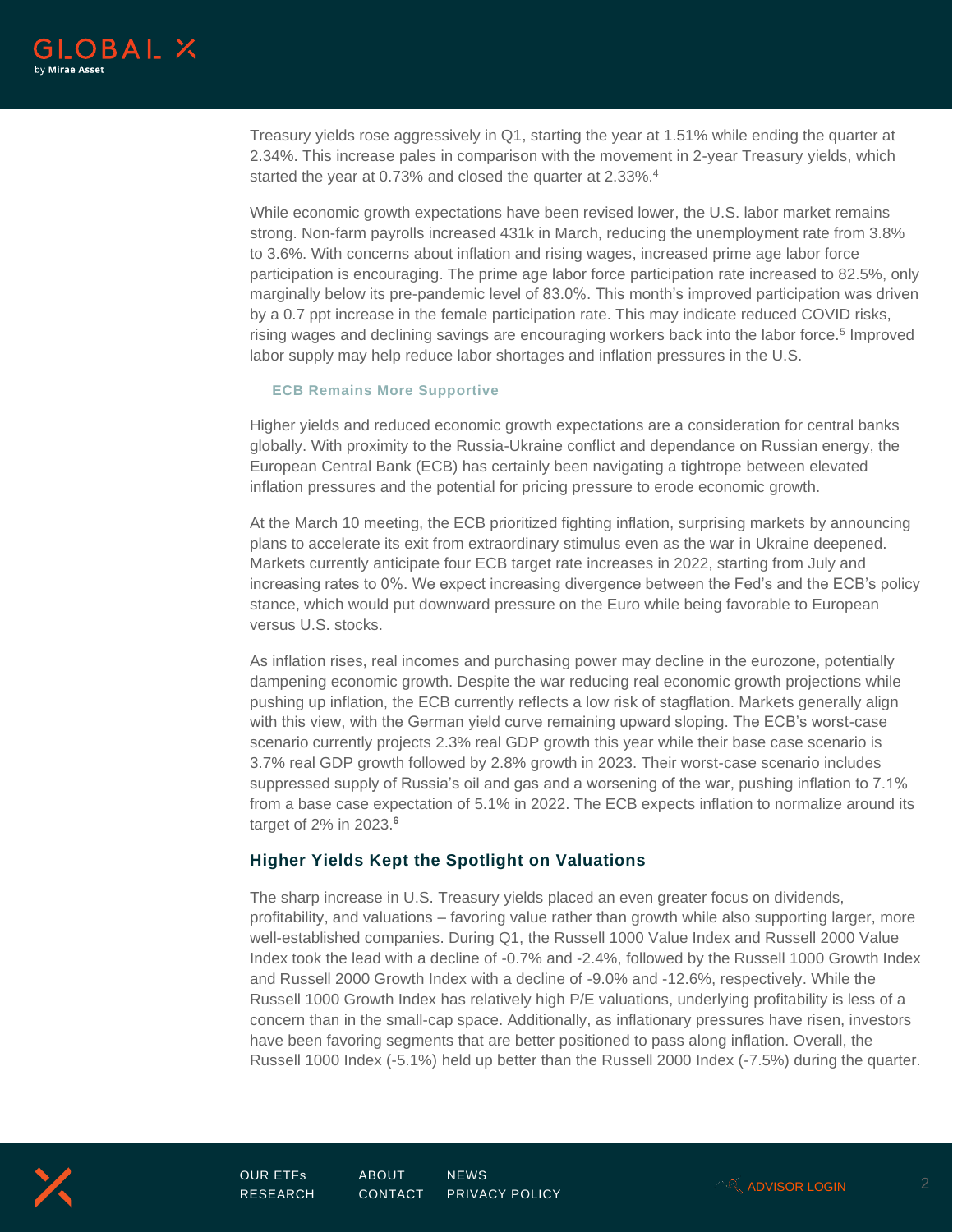

Treasury yields rose aggressively in Q1, starting the year at 1.51% while ending the quarter at 2.34%. This increase pales in comparison with the movement in 2-year Treasury yields, which started the year at 0.73% and closed the quarter at 2.33%.<sup>4</sup>

While economic growth expectations have been revised lower, the U.S. labor market remains strong. Non-farm payrolls increased 431k in March, reducing the unemployment rate from 3.8% to 3.6%. With concerns about inflation and rising wages, increased prime age labor force participation is encouraging. The prime age labor force participation rate increased to 82.5%, only marginally below its pre-pandemic level of 83.0%. This month's improved participation was driven by a 0.7 ppt increase in the female participation rate. This may indicate reduced COVID risks, rising wages and declining savings are encouraging workers back into the labor force.<sup>5</sup> Improved labor supply may help reduce labor shortages and inflation pressures in the U.S.

### **ECB Remains More Supportive**

Higher yields and reduced economic growth expectations are a consideration for central banks globally. With proximity to the Russia-Ukraine conflict and dependance on Russian energy, the European Central Bank (ECB) has certainly been navigating a tightrope between elevated inflation pressures and the potential for pricing pressure to erode economic growth.

At the March 10 meeting, the ECB prioritized fighting inflation, surprising markets by announcing plans to accelerate its exit from extraordinary stimulus even as the war in Ukraine deepened. Markets currently anticipate four ECB target rate increases in 2022, starting from July and increasing rates to 0%. We expect increasing divergence between the Fed's and the ECB's policy stance, which would put downward pressure on the Euro while being favorable to European versus U.S. stocks.

As inflation rises, real incomes and purchasing power may decline in the eurozone, potentially dampening economic growth. Despite the war reducing real economic growth projections while pushing up inflation, the ECB currently reflects a low risk of stagflation. Markets generally align with this view, with the German yield curve remaining upward sloping. The ECB's worst-case scenario currently projects 2.3% real GDP growth this year while their base case scenario is 3.7% real GDP growth followed by 2.8% growth in 2023. Their worst-case scenario includes suppressed supply of Russia's oil and gas and a worsening of the war, pushing inflation to 7.1% from a base case expectation of 5.1% in 2022. The ECB expects inflation to normalize around its target of 2% in 2023.**<sup>6</sup>**

### **Higher Yields Kept the Spotlight on Valuations**

The sharp increase in U.S. Treasury yields placed an even greater focus on dividends, profitability, and valuations – favoring value rather than growth while also supporting larger, more well-established companies. During Q1, the Russell 1000 Value Index and Russell 2000 Value Index took the lead with a decline of -0.7% and -2.4%, followed by the Russell 1000 Growth Index and Russell 2000 Growth Index with a decline of -9.0% and -12.6%, respectively. While the Russell 1000 Growth Index has relatively high P/E valuations, underlying profitability is less of a concern than in the small-cap space. Additionally, as inflationary pressures have risen, investors have been favoring segments that are better positioned to pass along inflation. Overall, the Russell 1000 Index (-5.1%) held up better than the Russell 2000 Index (-7.5%) during the quarter.



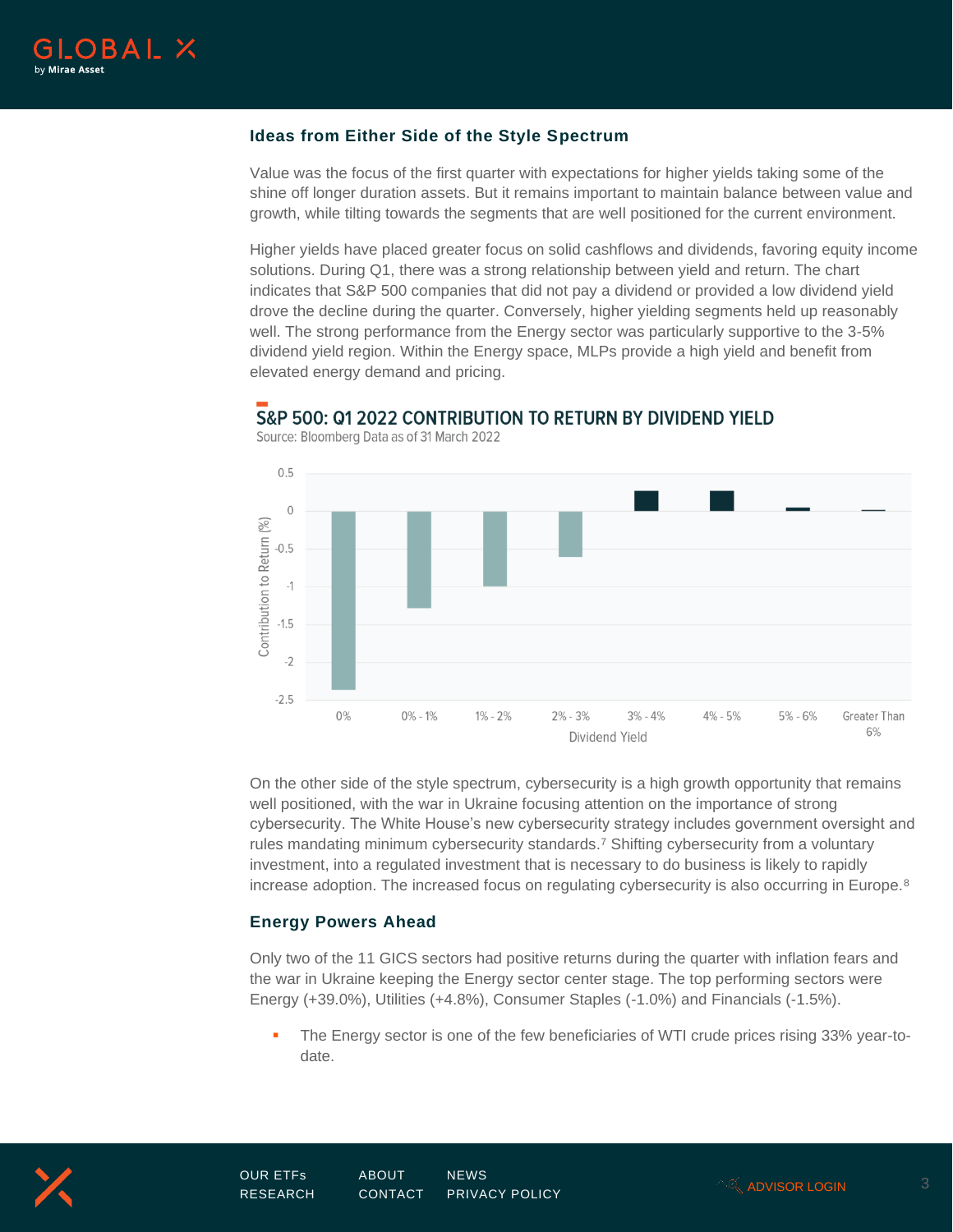

# **Ideas from Either Side of the Style Spectrum**

Value was the focus of the first quarter with expectations for higher yields taking some of the shine off longer duration assets. But it remains important to maintain balance between value and growth, while tilting towards the segments that are well positioned for the current environment.

Higher yields have placed greater focus on solid cashflows and dividends, favoring equity income solutions. During Q1, there was a strong relationship between yield and return. The chart indicates that S&P 500 companies that did not pay a dividend or provided a low dividend yield drove the decline during the quarter. Conversely, higher yielding segments held up reasonably well. The strong performance from the Energy sector was particularly supportive to the 3-5% dividend yield region. Within the Energy space, MLPs provide a high yield and benefit from elevated energy demand and pricing.



S&P 500: 01 2022 CONTRIBUTION TO RETURN BY DIVIDEND YIELD

Source: Bloomberg Data as of 31 March 2022

On the other side of the style spectrum, cybersecurity is a high growth opportunity that remains well positioned, with the war in Ukraine focusing attention on the importance of strong cybersecurity. The White House's new cybersecurity strategy includes government oversight and rules mandating minimum cybersecurity standards.<sup>7</sup> Shifting cybersecurity from a voluntary investment, into a regulated investment that is necessary to do business is likely to rapidly increase adoption. The increased focus on regulating cybersecurity is also occurring in Europe.<sup>8</sup>

### **Energy Powers Ahead**

Only two of the 11 GICS sectors had positive returns during the quarter with inflation fears and the war in Ukraine keeping the Energy sector center stage. The top performing sectors were Energy (+39.0%), Utilities (+4.8%), Consumer Staples (-1.0%) and Financials (-1.5%).

The Energy sector is one of the few beneficiaries of WTI crude prices rising 33% year-todate.



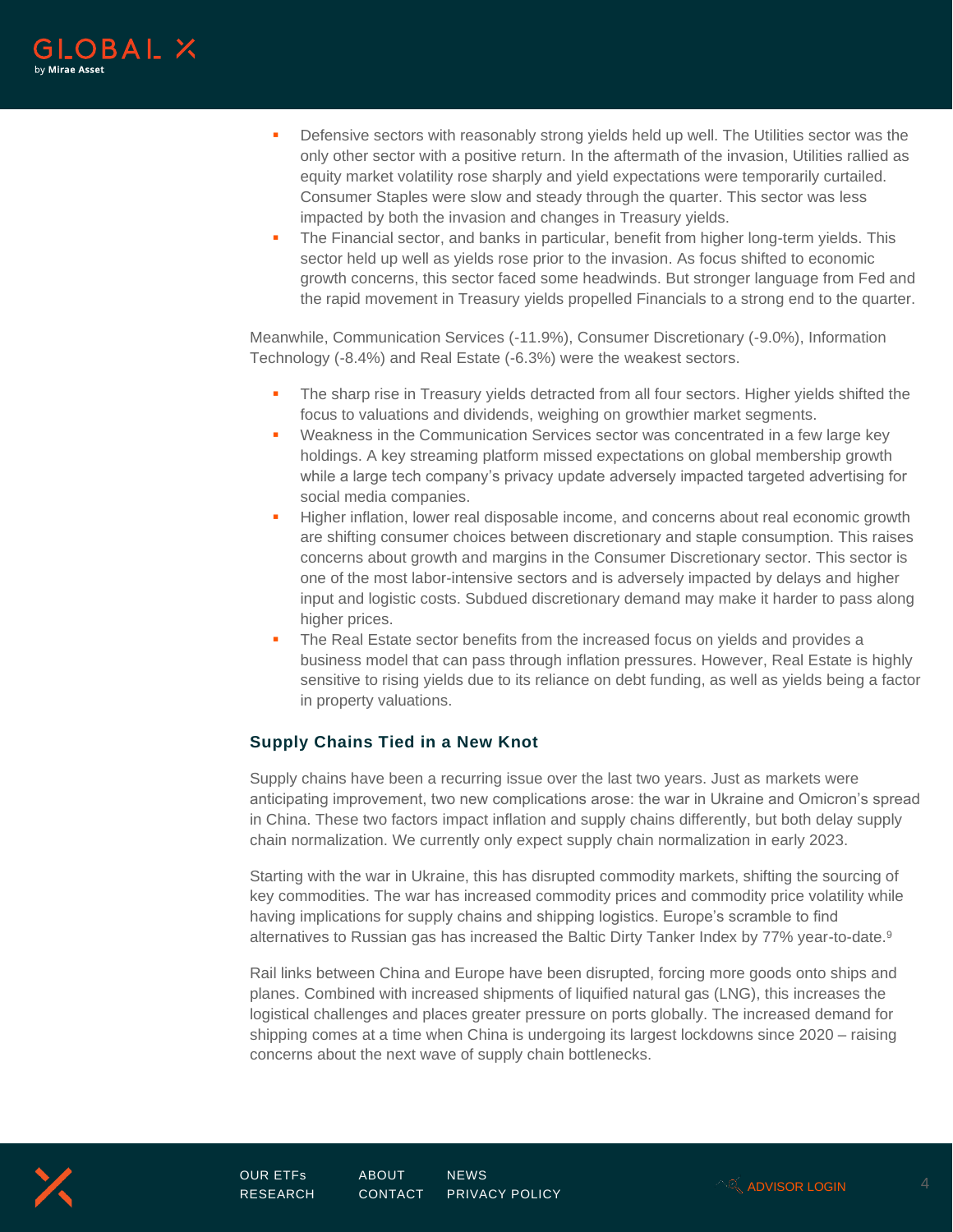

- **•** Defensive sectors with reasonably strong yields held up well. The Utilities sector was the only other sector with a positive return. In the aftermath of the invasion, Utilities rallied as equity market volatility rose sharply and yield expectations were temporarily curtailed. Consumer Staples were slow and steady through the quarter. This sector was less impacted by both the invasion and changes in Treasury yields.
- **•** The Financial sector, and banks in particular, benefit from higher long-term yields. This sector held up well as yields rose prior to the invasion. As focus shifted to economic growth concerns, this sector faced some headwinds. But stronger language from Fed and the rapid movement in Treasury yields propelled Financials to a strong end to the quarter.

Meanwhile, Communication Services (-11.9%), Consumer Discretionary (-9.0%), Information Technology (-8.4%) and Real Estate (-6.3%) were the weakest sectors.

- The sharp rise in Treasury yields detracted from all four sectors. Higher yields shifted the focus to valuations and dividends, weighing on growthier market segments.
- Weakness in the Communication Services sector was concentrated in a few large key holdings. A key streaming platform missed expectations on global membership growth while a large tech company's privacy update adversely impacted targeted advertising for social media companies.
- **.** Higher inflation, lower real disposable income, and concerns about real economic growth are shifting consumer choices between discretionary and staple consumption. This raises concerns about growth and margins in the Consumer Discretionary sector. This sector is one of the most labor-intensive sectors and is adversely impacted by delays and higher input and logistic costs. Subdued discretionary demand may make it harder to pass along higher prices.
- **The Real Estate sector benefits from the increased focus on yields and provides a** business model that can pass through inflation pressures. However, Real Estate is highly sensitive to rising yields due to its reliance on debt funding, as well as yields being a factor in property valuations.

# **Supply Chains Tied in a New Knot**

Supply chains have been a recurring issue over the last two years. Just as markets were anticipating improvement, two new complications arose: the war in Ukraine and Omicron's spread in China. These two factors impact inflation and supply chains differently, but both delay supply chain normalization. We currently only expect supply chain normalization in early 2023.

Starting with the war in Ukraine, this has disrupted commodity markets, shifting the sourcing of key commodities. The war has increased commodity prices and commodity price volatility while having implications for supply chains and shipping logistics. Europe's scramble to find alternatives to Russian gas has increased the Baltic Dirty Tanker Index by 77% year-to-date.<sup>9</sup>

Rail links between China and Europe have been disrupted, forcing more goods onto ships and planes. Combined with increased shipments of liquified natural gas (LNG), this increases the logistical challenges and places greater pressure on ports globally. The increased demand for shipping comes at a time when China is undergoing its largest lockdowns since 2020 – raising concerns about the next wave of supply chain bottlenecks.

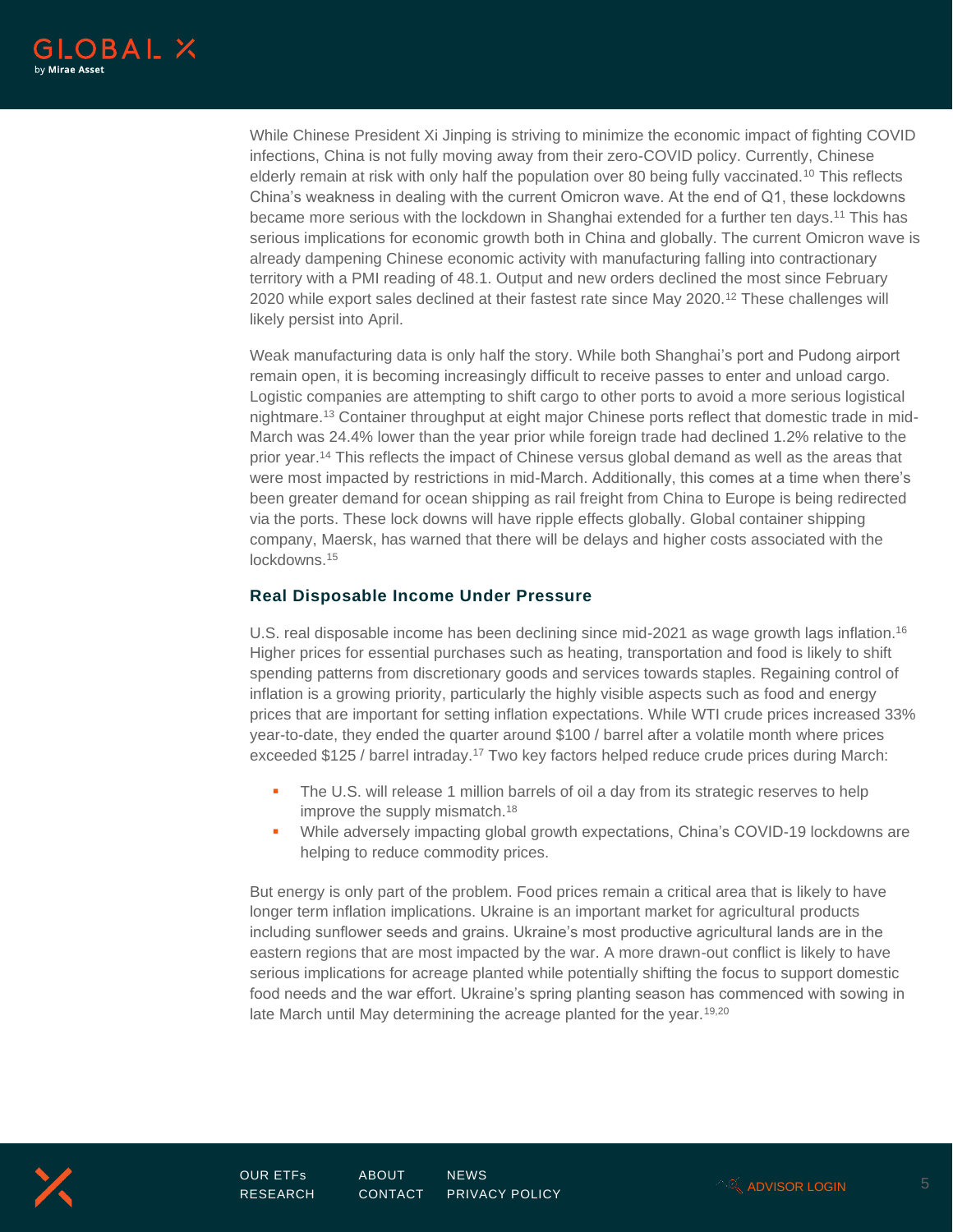

While Chinese President Xi Jinping is striving to minimize the economic impact of fighting COVID infections, China is not fully moving away from their zero-COVID policy. Currently, Chinese elderly remain at risk with only half the population over 80 being fully vaccinated.<sup>10</sup> This reflects China's weakness in dealing with the current Omicron wave. At the end of Q1, these lockdowns became more serious with the lockdown in Shanghai extended for a further ten days.<sup>11</sup> This has serious implications for economic growth both in China and globally. The current Omicron wave is already dampening Chinese economic activity with manufacturing falling into contractionary territory with a PMI reading of 48.1. Output and new orders declined the most since February 2020 while export sales declined at their fastest rate since May 2020.<sup>12</sup> These challenges will likely persist into April.

Weak manufacturing data is only half the story. While both Shanghai's port and Pudong airport remain open, it is becoming increasingly difficult to receive passes to enter and unload cargo. Logistic companies are attempting to shift cargo to other ports to avoid a more serious logistical nightmare.<sup>13</sup> Container throughput at eight major Chinese ports reflect that domestic trade in mid-March was 24.4% lower than the year prior while foreign trade had declined 1.2% relative to the prior year.<sup>14</sup> This reflects the impact of Chinese versus global demand as well as the areas that were most impacted by restrictions in mid-March. Additionally, this comes at a time when there's been greater demand for ocean shipping as rail freight from China to Europe is being redirected via the ports. These lock downs will have ripple effects globally. Global container shipping company, Maersk, has warned that there will be delays and higher costs associated with the lockdowns.<sup>15</sup>

# **Real Disposable Income Under Pressure**

U.S. real disposable income has been declining since mid-2021 as wage growth lags inflation.<sup>16</sup> Higher prices for essential purchases such as heating, transportation and food is likely to shift spending patterns from discretionary goods and services towards staples. Regaining control of inflation is a growing priority, particularly the highly visible aspects such as food and energy prices that are important for setting inflation expectations. While WTI crude prices increased 33% year-to-date, they ended the quarter around \$100 / barrel after a volatile month where prices exceeded \$125 / barrel intraday.<sup>17</sup> Two key factors helped reduce crude prices during March:

- The U.S. will release 1 million barrels of oil a day from its strategic reserves to help improve the supply mismatch.<sup>18</sup>
- While adversely impacting global growth expectations, China's COVID-19 lockdowns are helping to reduce commodity prices.

But energy is only part of the problem. Food prices remain a critical area that is likely to have longer term inflation implications. Ukraine is an important market for agricultural products including sunflower seeds and grains. Ukraine's most productive agricultural lands are in the eastern regions that are most impacted by the war. A more drawn-out conflict is likely to have serious implications for acreage planted while potentially shifting the focus to support domestic food needs and the war effort. Ukraine's spring planting season has commenced with sowing in late March until May determining the acreage planted for the year.<sup>19,20</sup>



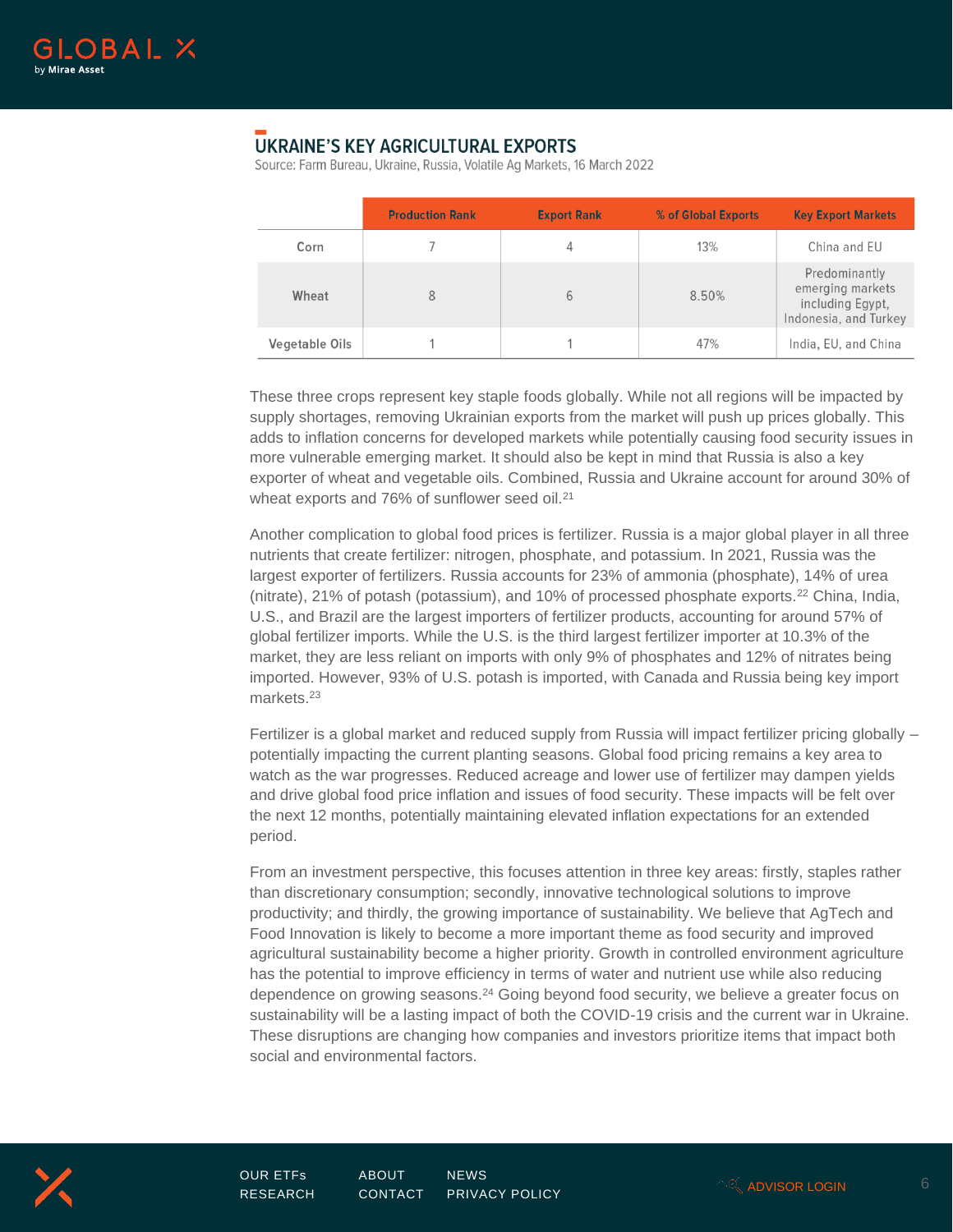

# **UKRAINE'S KEY AGRICULTURAL EXPORTS**

Source: Farm Bureau, Ukraine, Russia, Volatile Aq Markets, 16 March 2022

|                | <b>Production Rank</b> | <b>Export Rank</b> | % of Global Exports | <b>Key Export Markets</b>                                                      |
|----------------|------------------------|--------------------|---------------------|--------------------------------------------------------------------------------|
| Corn           |                        |                    | 13%                 | China and EU                                                                   |
| Wheat          | 8                      | 6                  | 8.50%               | Predominantly<br>emerging markets<br>including Egypt,<br>Indonesia, and Turkey |
| Vegetable Oils |                        |                    | 47%                 | India, EU, and China                                                           |

These three crops represent key staple foods globally. While not all regions will be impacted by supply shortages, removing Ukrainian exports from the market will push up prices globally. This adds to inflation concerns for developed markets while potentially causing food security issues in more vulnerable emerging market. It should also be kept in mind that Russia is also a key exporter of wheat and vegetable oils. Combined, Russia and Ukraine account for around 30% of wheat exports and 76% of sunflower seed oil.<sup>21</sup>

Another complication to global food prices is fertilizer. Russia is a major global player in all three nutrients that create fertilizer: nitrogen, phosphate, and potassium. In 2021, Russia was the largest exporter of fertilizers. Russia accounts for 23% of ammonia (phosphate), 14% of urea (nitrate), 21% of potash (potassium), and 10% of processed phosphate exports.<sup>22</sup> China, India, U.S., and Brazil are the largest importers of fertilizer products, accounting for around 57% of global fertilizer imports. While the U.S. is the third largest fertilizer importer at 10.3% of the market, they are less reliant on imports with only 9% of phosphates and 12% of nitrates being imported. However, 93% of U.S. potash is imported, with Canada and Russia being key import markets.<sup>23</sup>

Fertilizer is a global market and reduced supply from Russia will impact fertilizer pricing globally – potentially impacting the current planting seasons. Global food pricing remains a key area to watch as the war progresses. Reduced acreage and lower use of fertilizer may dampen yields and drive global food price inflation and issues of food security. These impacts will be felt over the next 12 months, potentially maintaining elevated inflation expectations for an extended period.

From an investment perspective, this focuses attention in three key areas: firstly, staples rather than discretionary consumption; secondly, innovative technological solutions to improve productivity; and thirdly, the growing importance of sustainability. We believe that AgTech and Food Innovation is likely to become a more important theme as food security and improved agricultural sustainability become a higher priority. Growth in controlled environment agriculture has the potential to improve efficiency in terms of water and nutrient use while also reducing dependence on growing seasons.<sup>24</sup> Going beyond food security, we believe a greater focus on sustainability will be a lasting impact of both the COVID-19 crisis and the current war in Ukraine. These disruptions are changing how companies and investors prioritize items that impact both social and environmental factors.



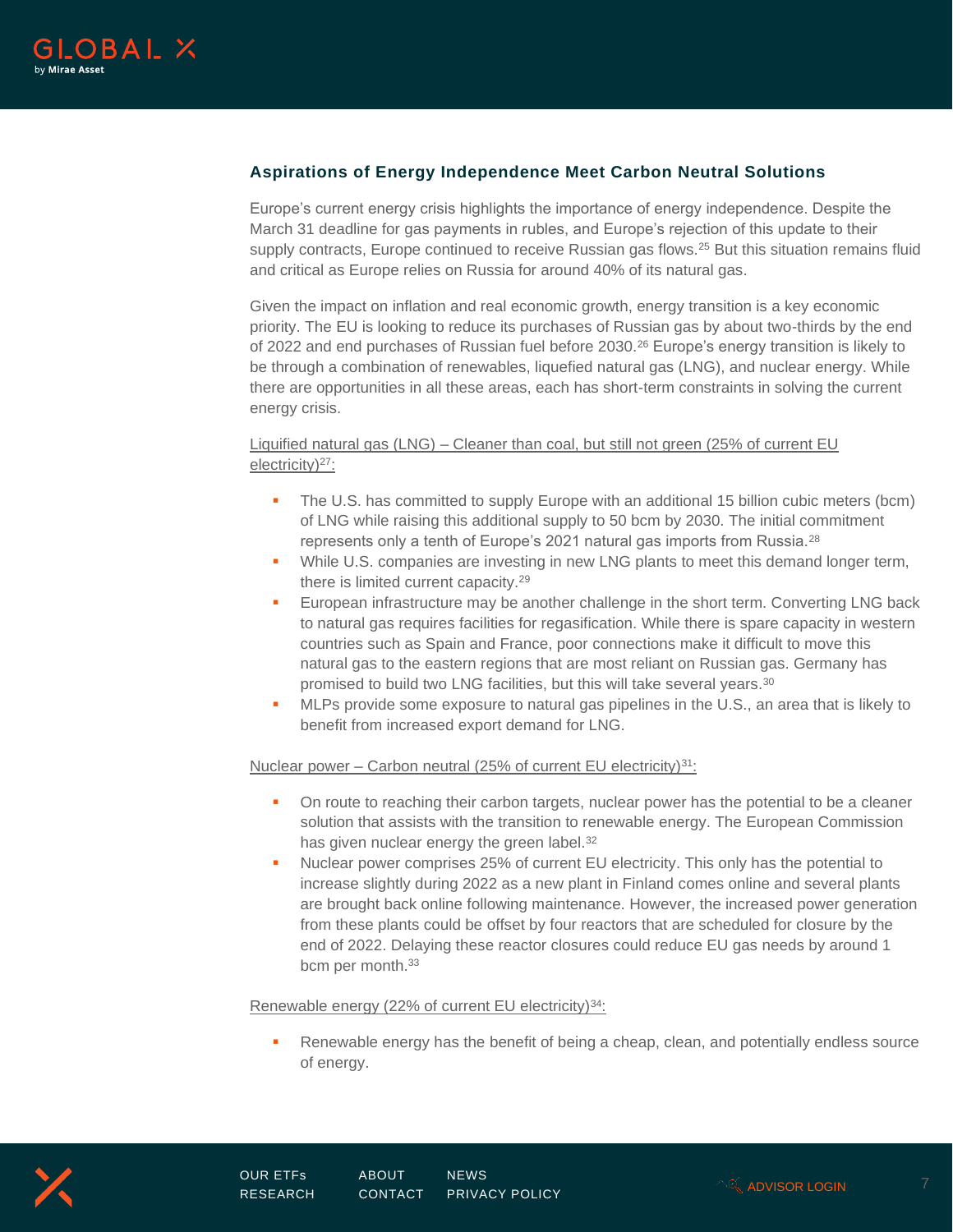

# **Aspirations of Energy Independence Meet Carbon Neutral Solutions**

Europe's current energy crisis highlights the importance of energy independence. Despite the March 31 deadline for gas payments in rubles, and Europe's rejection of this update to their supply contracts, Europe continued to receive Russian gas flows.<sup>25</sup> But this situation remains fluid and critical as Europe relies on Russia for around 40% of its natural gas.

Given the impact on inflation and real economic growth, energy transition is a key economic priority. The EU is looking to reduce its purchases of Russian gas by about two-thirds by the end of 2022 and end purchases of Russian fuel before 2030.<sup>26</sup> Europe's energy transition is likely to be through a combination of renewables, liquefied natural gas (LNG), and nuclear energy. While there are opportunities in all these areas, each has short-term constraints in solving the current energy crisis.

Liquified natural gas (LNG) – Cleaner than coal, but still not green (25% of current EU electricity)<sup>27</sup>:

- **•** The U.S. has committed to supply Europe with an additional 15 billion cubic meters (bcm) of LNG while raising this additional supply to 50 bcm by 2030. The initial commitment represents only a tenth of Europe's 2021 natural gas imports from Russia.<sup>28</sup>
- While U.S. companies are investing in new LNG plants to meet this demand longer term, there is limited current capacity.<sup>29</sup>
- **European infrastructure may be another challenge in the short term. Converting LNG back** to natural gas requires facilities for regasification. While there is spare capacity in western countries such as Spain and France, poor connections make it difficult to move this natural gas to the eastern regions that are most reliant on Russian gas. Germany has promised to build two LNG facilities, but this will take several years.<sup>30</sup>
- **•** MLPs provide some exposure to natural gas pipelines in the U.S., an area that is likely to benefit from increased export demand for LNG.

### Nuclear power – Carbon neutral (25% of current EU electricity)<sup>31</sup>:

- **•** On route to reaching their carbon targets, nuclear power has the potential to be a cleaner solution that assists with the transition to renewable energy. The European Commission has given nuclear energy the green label.<sup>32</sup>
- Nuclear power comprises 25% of current EU electricity. This only has the potential to increase slightly during 2022 as a new plant in Finland comes online and several plants are brought back online following maintenance. However, the increased power generation from these plants could be offset by four reactors that are scheduled for closure by the end of 2022. Delaying these reactor closures could reduce EU gas needs by around 1 bcm per month.<sup>33</sup>

### Renewable energy (22% of current EU electricity)<sup>34</sup>:

**•** Renewable energy has the benefit of being a cheap, clean, and potentially endless source of energy.



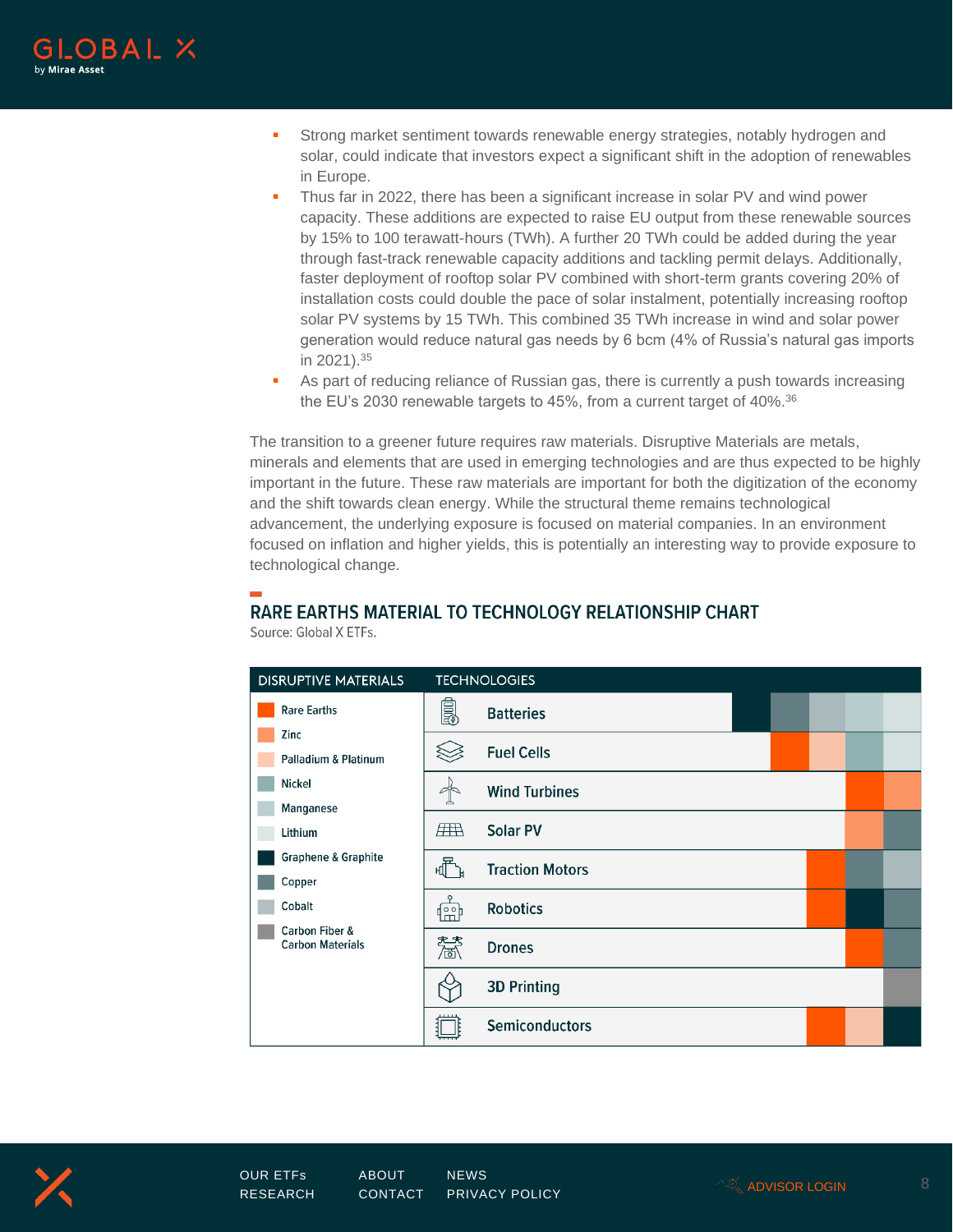

- **•** Strong market sentiment towards renewable energy strategies, notably hydrogen and solar, could indicate that investors expect a significant shift in the adoption of renewables in Europe.
- Thus far in 2022, there has been a significant increase in solar PV and wind power capacity. These additions are expected to raise EU output from these renewable sources by 15% to 100 terawatt-hours (TWh). A further 20 TWh could be added during the year through fast-track renewable capacity additions and tackling permit delays. Additionally, faster deployment of rooftop solar PV combined with short-term grants covering 20% of installation costs could double the pace of solar instalment, potentially increasing rooftop solar PV systems by 15 TWh. This combined 35 TWh increase in wind and solar power generation would reduce natural gas needs by 6 bcm (4% of Russia's natural gas imports in 2021).<sup>35</sup>
- **•** As part of reducing reliance of Russian gas, there is currently a push towards increasing the EU's 2030 renewable targets to 45%, from a current target of 40%.<sup>36</sup>

The transition to a greener future requires raw materials. Disruptive Materials are metals, minerals and elements that are used in emerging technologies and are thus expected to be highly important in the future. These raw materials are important for both the digitization of the economy and the shift towards clean energy. While the structural theme remains technological advancement, the underlying exposure is focused on material companies. In an environment focused on inflation and higher yields, this is potentially an interesting way to provide exposure to technological change.

# RARE EARTHS MATERIAL TO TECHNOLOGY RELATIONSHIP CHART

| <b>DISRUPTIVE MATERIALS</b>               |            | <b>TECHNOLOGIES</b>    |  |  |
|-------------------------------------------|------------|------------------------|--|--|
| <b>Rare Earths</b>                        | é.         | <b>Batteries</b>       |  |  |
| Zinc<br><b>Palladium &amp; Platinum</b>   |            | <b>Fuel Cells</b>      |  |  |
| <b>Nickel</b>                             |            | <b>Wind Turbines</b>   |  |  |
| Manganese<br>Lithium                      | <b>ATA</b> | <b>Solar PV</b>        |  |  |
| <b>Graphene &amp; Graphite</b><br>Copper  | 怔          | <b>Traction Motors</b> |  |  |
| Cobalt                                    | 喦          | <b>Robotics</b>        |  |  |
| Carbon Fiber &<br><b>Carbon Materials</b> | 慧          | <b>Drones</b>          |  |  |
|                                           |            | <b>3D Printing</b>     |  |  |
|                                           |            | Semiconductors         |  |  |

Source: Global X FTFs

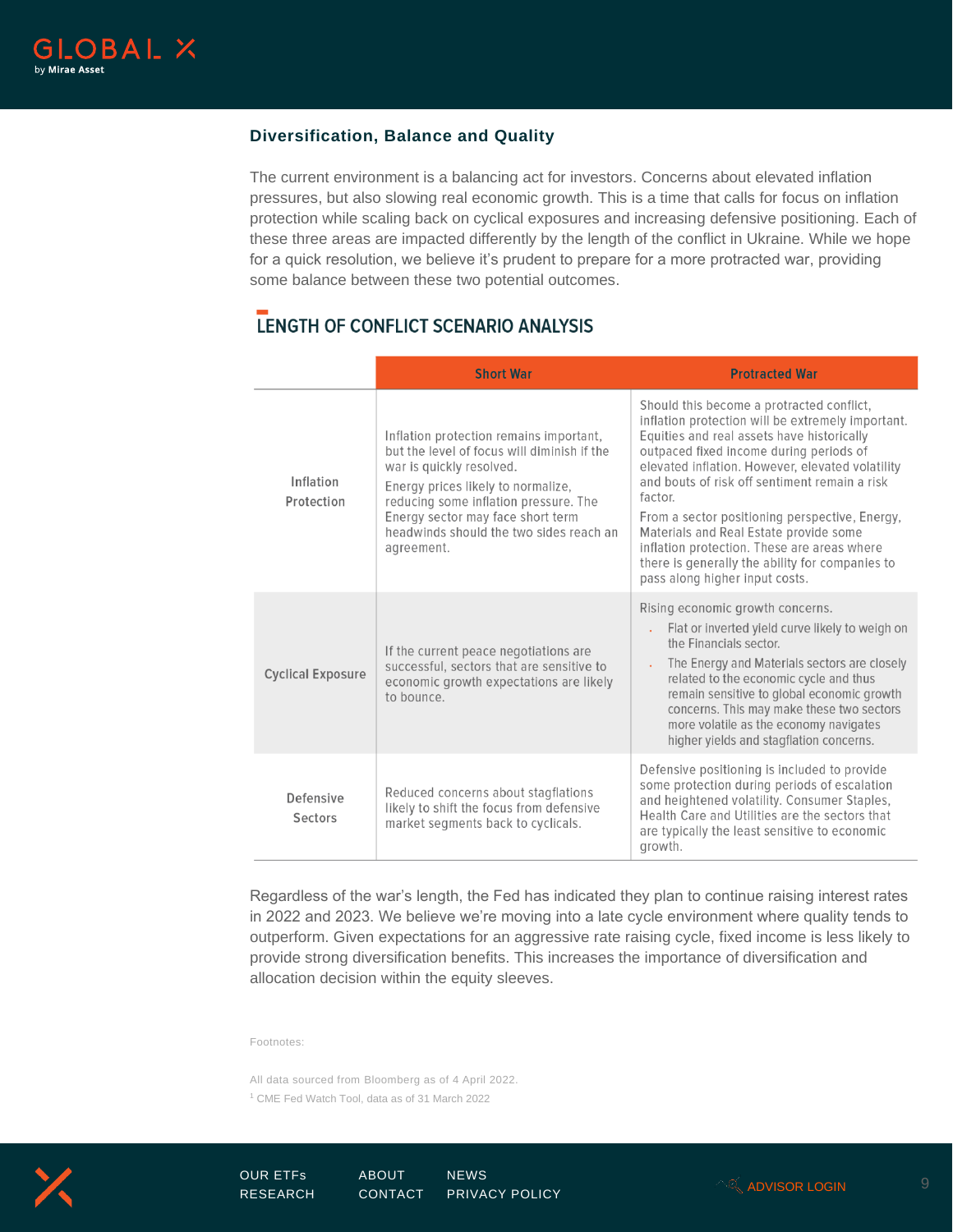

# **Diversification, Balance and Quality**

The current environment is a balancing act for investors. Concerns about elevated inflation pressures, but also slowing real economic growth. This is a time that calls for focus on inflation protection while scaling back on cyclical exposures and increasing defensive positioning. Each of these three areas are impacted differently by the length of the conflict in Ukraine. While we hope for a quick resolution, we believe it's prudent to prepare for a more protracted war, providing some balance between these two potential outcomes.

# LENGTH OF CONFLICT SCENARIO ANALYSIS

|                          | <b>Short War</b>                                                                                                                                                                                                                                                                                | <b>Protracted War</b>                                                                                                                                                                                                                                                                                                                                                                                                                                                                                                                   |  |  |
|--------------------------|-------------------------------------------------------------------------------------------------------------------------------------------------------------------------------------------------------------------------------------------------------------------------------------------------|-----------------------------------------------------------------------------------------------------------------------------------------------------------------------------------------------------------------------------------------------------------------------------------------------------------------------------------------------------------------------------------------------------------------------------------------------------------------------------------------------------------------------------------------|--|--|
| Inflation<br>Protection  | Inflation protection remains important,<br>but the level of focus will diminish if the<br>war is quickly resolved.<br>Energy prices likely to normalize,<br>reducing some inflation pressure. The<br>Energy sector may face short term<br>headwinds should the two sides reach an<br>agreement. | Should this become a protracted conflict,<br>inflation protection will be extremely important.<br>Equities and real assets have historically<br>outpaced fixed income during periods of<br>elevated inflation. However, elevated volatility<br>and bouts of risk off sentiment remain a risk<br>factor.<br>From a sector positioning perspective, Energy,<br>Materials and Real Estate provide some<br>inflation protection. These are areas where<br>there is generally the ability for companies to<br>pass along higher input costs. |  |  |
| <b>Cyclical Exposure</b> | If the current peace negotiations are<br>successful, sectors that are sensitive to<br>economic growth expectations are likely<br>to bounce.                                                                                                                                                     | Rising economic growth concerns.<br>Flat or inverted yield curve likely to weigh on<br>the Financials sector.<br>The Energy and Materials sectors are closely<br>related to the economic cycle and thus<br>remain sensitive to global economic growth<br>concerns. This may make these two sectors<br>more volatile as the economy navigates<br>higher yields and stagflation concerns.                                                                                                                                                 |  |  |
| Defensive<br>Sectors     | Reduced concerns about stagflations<br>likely to shift the focus from defensive<br>market segments back to cyclicals.                                                                                                                                                                           | Defensive positioning is included to provide<br>some protection during periods of escalation<br>and heightened volatility. Consumer Staples,<br>Health Care and Utilities are the sectors that<br>are typically the least sensitive to economic<br>growth.                                                                                                                                                                                                                                                                              |  |  |

Regardless of the war's length, the Fed has indicated they plan to continue raising interest rates in 2022 and 2023. We believe we're moving into a late cycle environment where quality tends to outperform. Given expectations for an aggressive rate raising cycle, fixed income is less likely to provide strong diversification benefits. This increases the importance of diversification and allocation decision within the equity sleeves.

Footnotes:

All data sourced from Bloomberg as of 4 April 2022. <sup>1</sup> CME Fed Watch Tool, data as of 31 March 2022

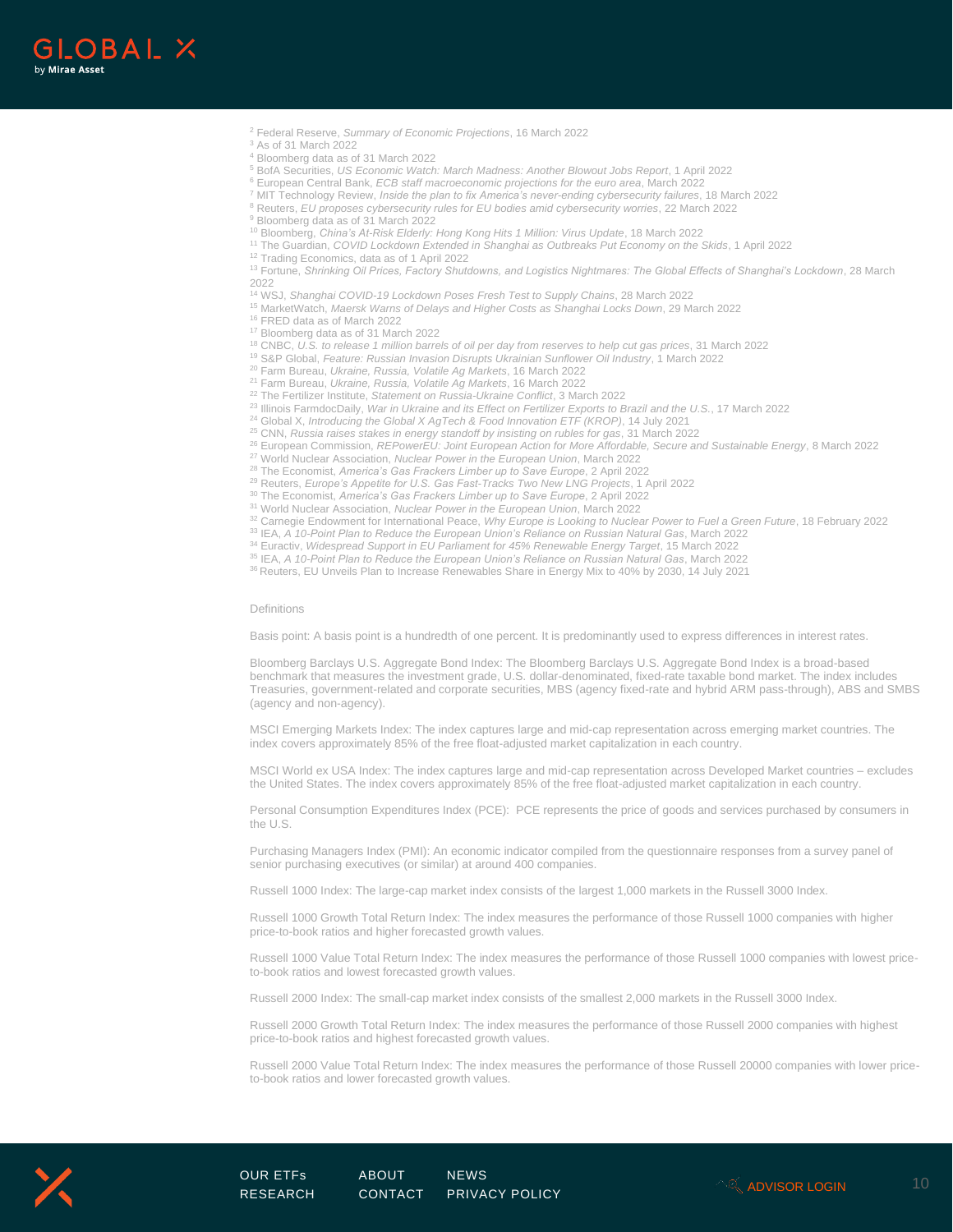

- <sup>2</sup> Federal Reserve, *Summary of Economic Projections*, 16 March 2022
- <sup>3</sup> As of 31 March 2022
- <sup>4</sup> Bloomberg data as of 31 March 2022
- <sup>5</sup> BofA Securities, *US Economic Watch: March Madness: Another Blowout Jobs Report*, 1 April 2022
- <sup>6</sup> European Central Bank, *ECB staff macroeconomic projections for the euro area*, March 2022
- <sup>7</sup> MIT Technology Review, *Inside the plan to fix America's never-ending cybersecurity failures*, 18 March 2022
- <sup>8</sup> Reuters, *EU proposes cybersecurity rules for EU bodies amid cybersecurity worries*, 22 March 2022
- <sup>9</sup> Bloomberg data as of 31 March 2022
- <sup>10</sup> Bloomberg, *China's At-Risk Elderly: Hong Kong Hits 1 Million: Virus Update*, 18 March 2022
- <sup>11</sup> The Guardian, *COVID Lockdown Extended in Shanghai as Outbreaks Put Economy on the Skids*, 1 April 2022
- <sup>12</sup> Trading Economics, data as of 1 April 2022

<sup>13</sup> Fortune, *Shrinking Oil Prices, Factory Shutdowns, and Logistics Nightmares: The Global Effects of Shanghai's Lockdown*, 28 March 2022

- <sup>14</sup> WSJ, *Shanghai COVID-19 Lockdown Poses Fresh Test to Supply Chains*, 28 March 2022
- <sup>15</sup> MarketWatch, *Maersk Warns of Delays and Higher Costs as Shanghai Locks Down*, 29 March 2022
- <sup>16</sup> FRED data as of March 2022
- <sup>17</sup> Bloomberg data as of 31 March 2022
- <sup>18</sup> CNBC, *U.S. to release 1 million barrels of oil per day from reserves to help cut gas prices*, 31 March 2022
- <sup>19</sup> S&P Global, *Feature: Russian Invasion Disrupts Ukrainian Sunflower Oil Industry*, 1 March 2022
- <sup>20</sup> Farm Bureau, *Ukraine, Russia, Volatile Ag Markets*, 16 March 2022
- <sup>21</sup> Farm Bureau, *Ukraine, Russia, Volatile Ag Markets*, 16 March 2022
- <sup>22</sup> The Fertilizer Institute, *Statement on Russia-Ukraine Conflict*, 3 March 2022
- 23 Illinois FarmdocDaily, *War in Ukraine and its Effect on Fertilizer Exports to Brazil and the U.S.*, 17 March 2022
- <sup>24</sup> Global X, *Introducing the Global X AgTech & Food Innovation ETF (KROP)*, 14 July 2021
- <sup>25</sup> CNN, *Russia raises stakes in energy standoff by insisting on rubles for gas*, 31 March 2022
- <sup>26</sup> European Commission, *REPowerEU: Joint European Action for More Affordable, Secure and Sustainable Energy*, 8 March 2022
- <sup>27</sup> World Nuclear Association, *Nuclear Power in the European Union*, March 2022
- <sup>28</sup> The Economist, *America's Gas Frackers Limber up to Save Europe*, 2 April 2022
- <sup>29</sup> Reuters, *Europe's Appetite for U.S. Gas Fast-Tracks Two New LNG Projects*, 1 April 2022
- <sup>30</sup> The Economist, *America's Gas Frackers Limber up to Save Europe*, 2 April 2022
- <sup>31</sup> World Nuclear Association, *Nuclear Power in the European Union*, March 2022
- <sup>32</sup> Carnegie Endowment for International Peace, *Why Europe is Looking to Nuclear Power to Fuel a Green Future*, 18 February 2022
- 33 IEA, *A 10-Point Plan to Reduce the European Union's Reliance on Russian Natural Gas*, March 2022
- <sup>34</sup> Euractiv, *Widespread Support in EU Parliament for 45% Renewable Energy Target*, 15 March 2022
- 35 IEA, *A 10-Point Plan to Reduce the European Union's Reliance on Russian Natural Gas*, March 2022
- 36 Reuters, EU Unveils Plan to Increase Renewables Share in Energy Mix to 40% by 2030, 14 July 2021

#### Definitions

Basis point: A basis point is a hundredth of one percent. It is predominantly used to express differences in interest rates.

Bloomberg Barclays U.S. Aggregate Bond Index: The Bloomberg Barclays U.S. Aggregate Bond Index is a broad-based benchmark that measures the investment grade, U.S. dollar-denominated, fixed-rate taxable bond market. The index includes Treasuries, government-related and corporate securities, MBS (agency fixed-rate and hybrid ARM pass-through), ABS and SMBS (agency and non-agency).

MSCI Emerging Markets Index: The index captures large and mid-cap representation across emerging market countries. The index covers approximately 85% of the free float-adjusted market capitalization in each country.

MSCI World ex USA Index: The index captures large and mid-cap representation across Developed Market countries – excludes the United States. The index covers approximately 85% of the free float-adjusted market capitalization in each country.

Personal Consumption Expenditures Index (PCE): PCE represents the price of goods and services purchased by consumers in the U.S.

Purchasing Managers Index (PMI): An economic indicator compiled from the questionnaire responses from a survey panel of senior purchasing executives (or similar) at around 400 companies.

Russell 1000 Index: The large-cap market index consists of the largest 1,000 markets in the Russell 3000 Index.

Russell 1000 Growth Total Return Index: The index measures the performance of those Russell 1000 companies with higher price-to-book ratios and higher forecasted growth values.

Russell 1000 Value Total Return Index: The index measures the performance of those Russell 1000 companies with lowest priceto-book ratios and lowest forecasted growth values.

Russell 2000 Index: The small-cap market index consists of the smallest 2,000 markets in the Russell 3000 Index.

Russell 2000 Growth Total Return Index: The index measures the performance of those Russell 2000 companies with highest price-to-book ratios and highest forecasted growth values.

Russell 2000 Value Total Return Index: The index measures the performance of those Russell 20000 companies with lower priceto-book ratios and lower forecasted growth values.